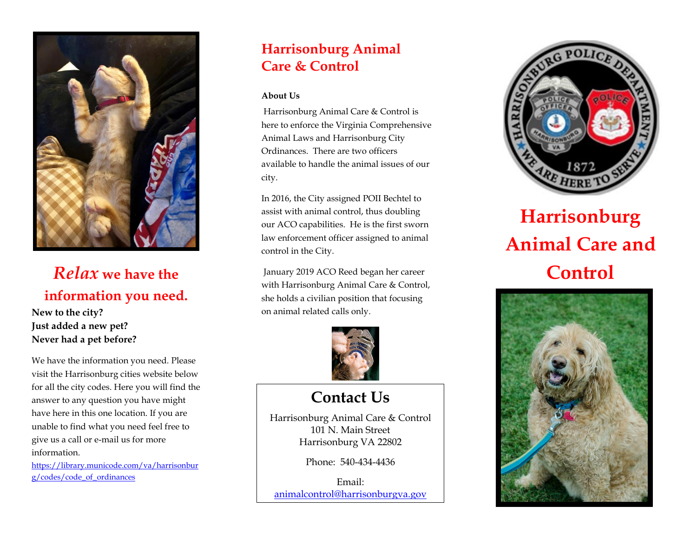

# *Relax* **we have the information you need.**

#### **New to the city? Just added a new pet? Never had a pet before?**

We have the information you need. Please visit the Harrisonburg cities website below for all the city codes. Here you will find the answer to any question you have might have here in this one location. If you are unable to find what you need feel free to give us a call or e-mail us for more information.

[https://library.municode.com/va/harrisonbur](https://library.municode.com/va/harrisonburg/codes/code_of_ordinances) [g/codes/code\\_of\\_ordinances](https://library.municode.com/va/harrisonburg/codes/code_of_ordinances)

# **Harrisonburg Animal Care & Control**

#### **About Us**

l,

Harrisonburg Animal Care & Control is here to enforce the Virginia Comprehensive Animal Laws and Harrisonburg City Ordinances. There are two officers available to handle the animal issues of our city.

In 2016, the City assigned POII Bechtel to assist with animal control, thus doubling our ACO capabilities. He is the first sworn law enforcement officer assigned to animal control in the City.

January 2019 ACO Reed began her career with Harrisonburg Animal Care & Control, she holds a civilian position that focusing on animal related calls only.



# **Contact Us**

Harrisonburg Animal Care & Control 101 N. Main Street Harrisonburg VA 22802

Phone: 540-434-4436

Email: [animalcontrol@harrisonburgva.gov](mailto:animalcontrol@harrisonburgva.gov)



# **Harrisonburg Animal Care and Control**